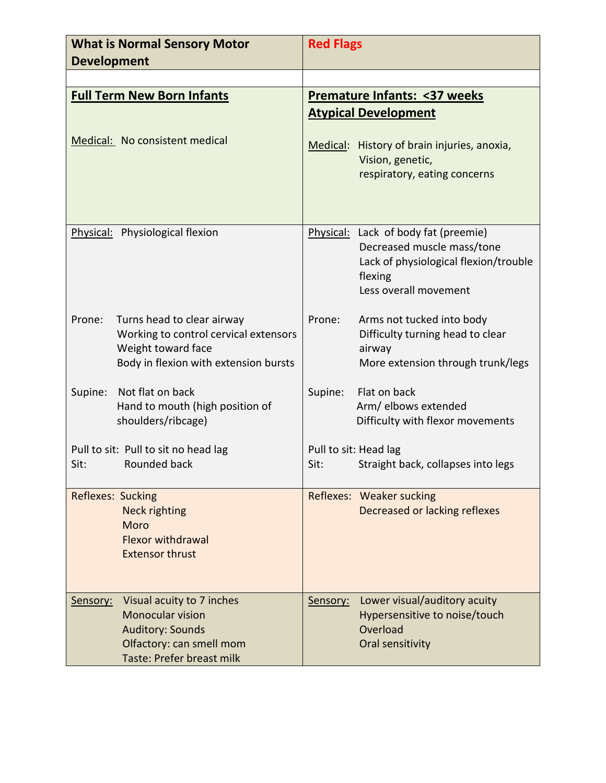| <b>What is Normal Sensory Motor</b>                                                                                                                  | <b>Red Flags</b>                                                                                                                                |
|------------------------------------------------------------------------------------------------------------------------------------------------------|-------------------------------------------------------------------------------------------------------------------------------------------------|
| <b>Development</b>                                                                                                                                   |                                                                                                                                                 |
|                                                                                                                                                      |                                                                                                                                                 |
| <b>Full Term New Born Infants</b>                                                                                                                    | <b>Premature Infants: &lt;37 weeks</b>                                                                                                          |
|                                                                                                                                                      | <b>Atypical Development</b>                                                                                                                     |
| Medical: No consistent medical                                                                                                                       | Medical: History of brain injuries, anoxia,<br>Vision, genetic,<br>respiratory, eating concerns                                                 |
| Physical: Physiological flexion                                                                                                                      | Physical: Lack of body fat (preemie)<br>Decreased muscle mass/tone<br>Lack of physiological flexion/trouble<br>flexing<br>Less overall movement |
| Prone:<br>Turns head to clear airway<br>Working to control cervical extensors<br>Weight toward face<br>Body in flexion with extension bursts         | Prone:<br>Arms not tucked into body<br>Difficulty turning head to clear<br>airway<br>More extension through trunk/legs                          |
| Not flat on back<br>Supine:<br>Hand to mouth (high position of<br>shoulders/ribcage)                                                                 | Supine:<br>Flat on back<br>Arm/ elbows extended<br>Difficulty with flexor movements                                                             |
| Pull to sit: Pull to sit no head lag<br>Rounded back<br>Sit:                                                                                         | Pull to sit: Head lag<br>Sit:<br>Straight back, collapses into legs                                                                             |
| <b>Reflexes: Sucking</b><br><b>Neck righting</b><br>Moro<br><b>Flexor withdrawal</b><br><b>Extensor thrust</b>                                       | Reflexes: Weaker sucking<br>Decreased or lacking reflexes                                                                                       |
| Visual acuity to 7 inches<br>Sensory:<br><b>Monocular vision</b><br><b>Auditory: Sounds</b><br>Olfactory: can smell mom<br>Taste: Prefer breast milk | Lower visual/auditory acuity<br>Sensory:<br>Hypersensitive to noise/touch<br>Overload<br>Oral sensitivity                                       |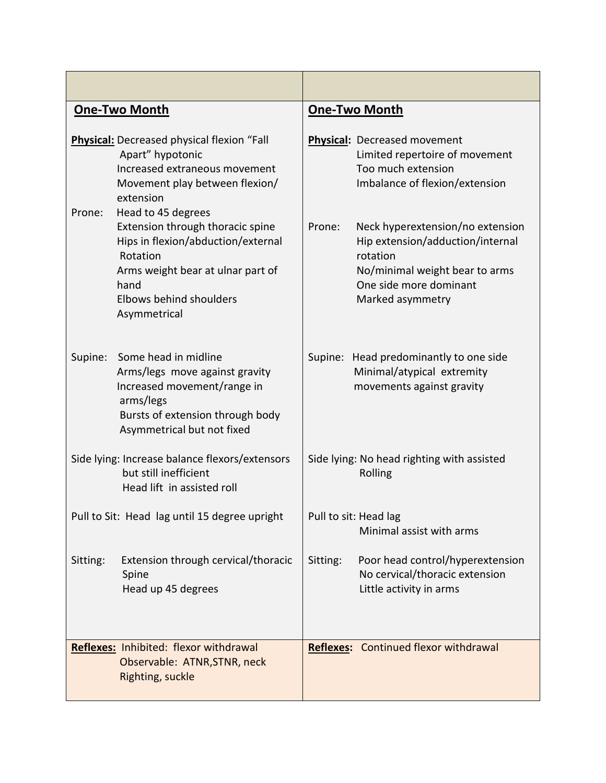|          | <b>One-Two Month</b>                                                                                                                                                       |          | <b>One-Two Month</b>                                                                                                                                             |
|----------|----------------------------------------------------------------------------------------------------------------------------------------------------------------------------|----------|------------------------------------------------------------------------------------------------------------------------------------------------------------------|
| Prone:   | Physical: Decreased physical flexion "Fall<br>Apart" hypotonic<br>Increased extraneous movement<br>Movement play between flexion/<br>extension<br>Head to 45 degrees       |          | Physical: Decreased movement<br>Limited repertoire of movement<br>Too much extension<br>Imbalance of flexion/extension                                           |
|          | Extension through thoracic spine<br>Hips in flexion/abduction/external<br>Rotation<br>Arms weight bear at ulnar part of<br>hand<br>Elbows behind shoulders<br>Asymmetrical | Prone:   | Neck hyperextension/no extension<br>Hip extension/adduction/internal<br>rotation<br>No/minimal weight bear to arms<br>One side more dominant<br>Marked asymmetry |
| Supine:  | Some head in midline<br>Arms/legs move against gravity<br>Increased movement/range in<br>arms/legs<br>Bursts of extension through body<br>Asymmetrical but not fixed       |          | Supine: Head predominantly to one side<br>Minimal/atypical extremity<br>movements against gravity                                                                |
|          | Side lying: Increase balance flexors/extensors<br>but still inefficient<br>Head lift in assisted roll                                                                      |          | Side lying: No head righting with assisted<br>Rolling                                                                                                            |
|          | Pull to Sit: Head lag until 15 degree upright                                                                                                                              |          | Pull to sit: Head lag<br>Minimal assist with arms                                                                                                                |
| Sitting: | Extension through cervical/thoracic<br>Spine<br>Head up 45 degrees                                                                                                         | Sitting: | Poor head control/hyperextension<br>No cervical/thoracic extension<br>Little activity in arms                                                                    |
|          | Reflexes: Inhibited: flexor withdrawal<br>Observable: ATNR, STNR, neck<br>Righting, suckle                                                                                 |          | Reflexes: Continued flexor withdrawal                                                                                                                            |